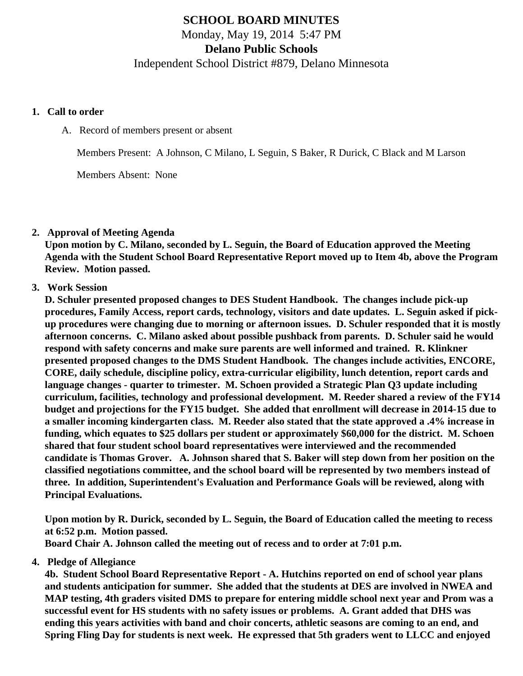# **SCHOOL BOARD MINUTES**

Monday, May 19, 2014 5:47 PM

**Delano Public Schools**

Independent School District #879, Delano Minnesota

#### **1. Call to order**

A. Record of members present or absent

Members Present: A Johnson, C Milano, L Seguin, S Baker, R Durick, C Black and M Larson

Members Absent: None

## **2. Approval of Meeting Agenda**

**Upon motion by C. Milano, seconded by L. Seguin, the Board of Education approved the Meeting Agenda with the Student School Board Representative Report moved up to Item 4b, above the Program Review. Motion passed.**

## **3. Work Session**

**D. Schuler presented proposed changes to DES Student Handbook. The changes include pick-up procedures, Family Access, report cards, technology, visitors and date updates. L. Seguin asked if pickup procedures were changing due to morning or afternoon issues. D. Schuler responded that it is mostly afternoon concerns. C. Milano asked about possible pushback from parents. D. Schuler said he would respond with safety concerns and make sure parents are well informed and trained. R. Klinkner presented proposed changes to the DMS Student Handbook. The changes include activities, ENCORE, CORE, daily schedule, discipline policy, extra-curricular eligibility, lunch detention, report cards and language changes - quarter to trimester. M. Schoen provided a Strategic Plan Q3 update including curriculum, facilities, technology and professional development. M. Reeder shared a review of the FY14 budget and projections for the FY15 budget. She added that enrollment will decrease in 2014-15 due to a smaller incoming kindergarten class. M. Reeder also stated that the state approved a .4% increase in funding, which equates to \$25 dollars per student or approximately \$60,000 for the district. M. Schoen shared that four student school board representatives were interviewed and the recommended candidate is Thomas Grover. A. Johnson shared that S. Baker will step down from her position on the classified negotiations committee, and the school board will be represented by two members instead of three. In addition, Superintendent's Evaluation and Performance Goals will be reviewed, along with Principal Evaluations.**

**Upon motion by R. Durick, seconded by L. Seguin, the Board of Education called the meeting to recess at 6:52 p.m. Motion passed.**

**Board Chair A. Johnson called the meeting out of recess and to order at 7:01 p.m.**

## **4. Pledge of Allegiance**

**4b. Student School Board Representative Report - A. Hutchins reported on end of school year plans and students anticipation for summer. She added that the students at DES are involved in NWEA and MAP testing, 4th graders visited DMS to prepare for entering middle school next year and Prom was a successful event for HS students with no safety issues or problems. A. Grant added that DHS was ending this years activities with band and choir concerts, athletic seasons are coming to an end, and Spring Fling Day for students is next week. He expressed that 5th graders went to LLCC and enjoyed**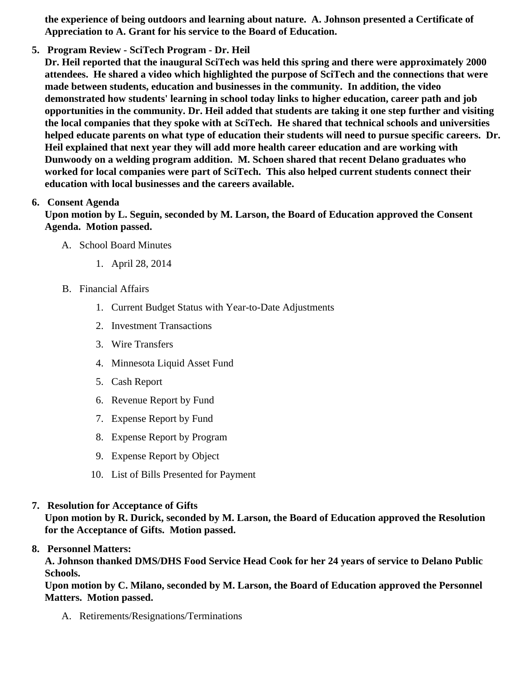the experience of being outdoors and learning about nature. A. Johnson presented a Certificate of Appreciation to A. Grant for his service to the Board of Education.

5. Program Review - SciTech Program - Dr. Heil

Dr. Heil reported that the inaugural SciTech was held this spring and there were approximately 2000 attendees. He shared a video which highlighted the purpose of SciTech and the connections that were made between students, education and businesses in the community. In addition, the video demonstrated how students' learning in school today links to higher education, career path and job opportunities in the community. Dr. Heil added that students are taking it one step further and visiting the local companies that they spoke with at SciTech. He shared that technical schools and universities helped educate parents on what type of education their students will need to pursue specific careers. Dr. Heil explained that next year they will add more health career education and are working with Dunwoody on a welding program addition. M. Schoen shared that recent Delano graduates who worked for local companies were part of SciTech. This also helped current students connect their education with local businesses and the careers available.

## 6. Consent Agenda

Upon motion by L. Seguin, seconded by M. Larson, the Board of Education approved the Consent Agenda. Motion passed.

- A. School Board Minutes
	- 1. [April 28, 2014](/docs/district/Business_Office/April2014SchoolBoardMinutes.pdf)
- B. Financial Affairs
	- 1. [Current Budget Statu](/docs/district/Business_Office/Budget_Report_5.14.pdf)s ith Year-to-Date Adjustments
	- 2. [Investment Transactio](/docs/district/Business_Office/Investment_schedule_13-14.pdf)ns
	- 3. [Wire Transfer](/docs/district/Business_Office/Wire_Transfer.pdf)s
	- 4. [Minnesota Liquid Asset Fun](/docs/district/Business_Office/LiqAFY13-14.pdf)d
	- 5. [Cash Repo](/docs/district/Business_Office/Cash_Report.pdf )rt
	- 6. [Revenue Report by Fu](/docs/district/Business_Office/SCHOOL_BOARD_REPORTS_-_REVENUE_BY_FUND_TOTAL__(Date__6_2014).pdf)nd
	- 7. [Expense Report by Fu](/docs/district/Business_Office/SCHOOL_BOARD_REPORTS_-_EXP_BY_FUND_TOTAL__(Date__6_2014).pdf)nd
	- 8. [Expense Report by Progra](/docs/district/Business_Office/SCHOOL_BOARD_REPORTS_-_EXPENDITURES_BY_PROGRAM__(Date__6_2014).pdf)m
	- 9. [Expense Report by Obje](/docs/district/Business_Office/SCHOOL_BOARD_REPORTS_-_EXPENDITURES_BY_OBJECT__(Date__6_2014).pdf)ct
	- 10. [List of Bills Presented for Payme](/docs/district/Business_Office/Monthly_Bills_Paid.pdf)nt
- 7. [Resolution for Acceptance of Gifts](/docs/district/Business_Office/Resolution_for_Acceptance_of_Gifts_5.19.14.pdf)

Upon motion by R. Durick, seconded by M. Larson, the Board of Education approved the Resolution for the Acceptance of Gifts. Motion passed.

## 8. Personnel Matters:

A. Johnson thanked DMS/DHS Food Service Head Cook for her 24 years of service to Delano Public Schools.

Upon motion by C. Milano, seconded by M. Larson, the Board of Education approved the Personnel Matters. Motion passed.

A. Retirements/Resignations/Terminations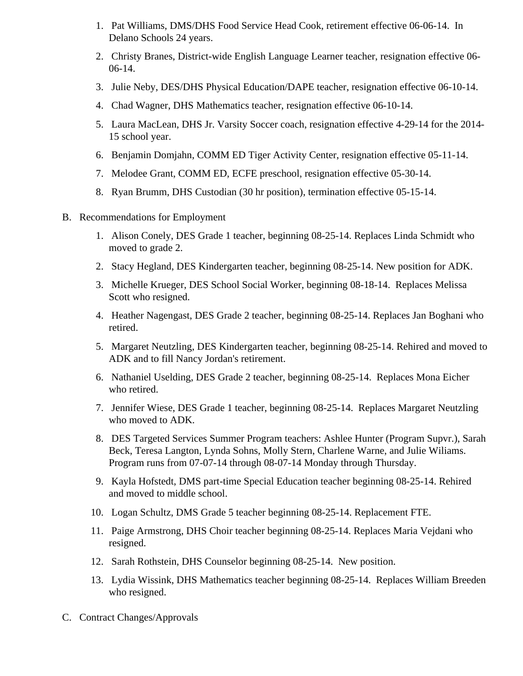- 1. Pat Williams, DMS/DHS Food Service Head Cook, retirement effective 06-06-14. In Delano Schools 24 years.
- 2. Christy Branes, District-wide English Language Learner teacher, resignation effective 06- 06-14.
- 3. Julie Neby, DES/DHS Physical Education/DAPE teacher, resignation effective 06-10-14.
- 4. Chad Wagner, DHS Mathematics teacher, resignation effective 06-10-14.
- 5. Laura MacLean, DHS Jr. Varsity Soccer coach, resignation effective 4-29-14 for the 2014- 15 school year.
- 6. Benjamin Domjahn, COMM ED Tiger Activity Center, resignation effective 05-11-14.
- 7. Melodee Grant, COMM ED, ECFE preschool, resignation effective 05-30-14.
- 8. Ryan Brumm, DHS Custodian (30 hr position), termination effective 05-15-14.
- B. Recommendations for Employment
	- 1. Alison Conely, DES Grade 1 teacher, beginning 08-25-14. Replaces Linda Schmidt who moved to grade 2.
	- 2. Stacy Hegland, DES Kindergarten teacher, beginning 08-25-14. New position for ADK.
	- 3. Michelle Krueger, DES School Social Worker, beginning 08-18-14. Replaces Melissa Scott who resigned.
	- 4. Heather Nagengast, DES Grade 2 teacher, beginning 08-25-14. Replaces Jan Boghani who retired.
	- 5. Margaret Neutzling, DES Kindergarten teacher, beginning 08-25-14. Rehired and moved to ADK and to fill Nancy Jordan's retirement.
	- 6. Nathaniel Uselding, DES Grade 2 teacher, beginning 08-25-14. Replaces Mona Eicher who retired.
	- 7. Jennifer Wiese, DES Grade 1 teacher, beginning 08-25-14. Replaces Margaret Neutzling who moved to ADK.
	- 8. DES Targeted Services Summer Program teachers: Ashlee Hunter (Program Supvr.), Sarah Beck, Teresa Langton, Lynda Sohns, Molly Stern, Charlene Warne, and Julie Wiliams. Program runs from 07-07-14 through 08-07-14 Monday through Thursday.
	- 9. Kayla Hofstedt, DMS part-time Special Education teacher beginning 08-25-14. Rehired and moved to middle school.
	- 10. Logan Schultz, DMS Grade 5 teacher beginning 08-25-14. Replacement FTE.
	- 11. Paige Armstrong, DHS Choir teacher beginning 08-25-14. Replaces Maria Vejdani who resigned.
	- 12. Sarah Rothstein, DHS Counselor beginning 08-25-14. New position.
	- 13. Lydia Wissink, DHS Mathematics teacher beginning 08-25-14. Replaces William Breeden who resigned.
- C. Contract Changes/Approvals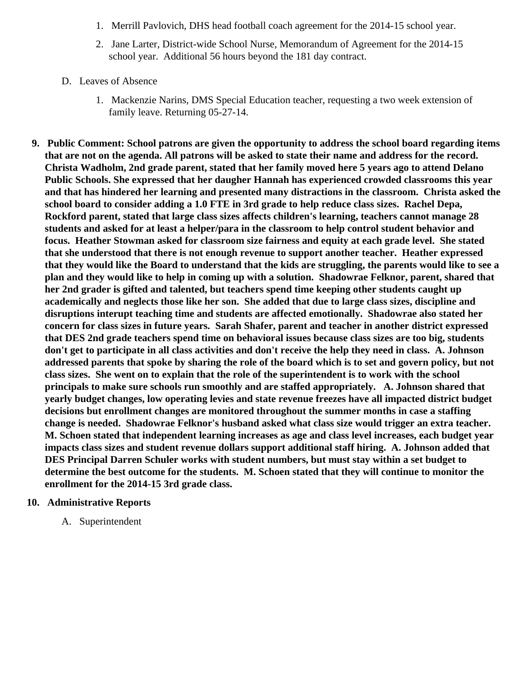- 1. Merrill Pavlovich, DHS head football coach agreement for the 2014-15 school year.
- 2. Jane Larter, District-wide School Nurse, Memorandum of Agreement for the 2014-15 school year. Additional 56 hours beyond the 181 day contract.
- D. Leaves of Absence
	- 1. Mackenzie Narins, DMS Special Education teacher, requesting a two week extension of family leave. Returning 05-27-14.
- **9. Public Comment: School patrons are given the opportunity to address the school board regarding items that are not on the agenda. All patrons will be asked to state their name and address for the record. Christa Wadholm, 2nd grade parent, stated that her family moved here 5 years ago to attend Delano Public Schools. She expressed that her daugher Hannah has experienced crowded classrooms this year and that has hindered her learning and presented many distractions in the classroom. Christa asked the school board to consider adding a 1.0 FTE in 3rd grade to help reduce class sizes. Rachel Depa, Rockford parent, stated that large class sizes affects children's learning, teachers cannot manage 28 students and asked for at least a helper/para in the classroom to help control student behavior and focus. Heather Stowman asked for classroom size fairness and equity at each grade level. She stated that she understood that there is not enough revenue to support another teacher. Heather expressed that they would like the Board to understand that the kids are struggling, the parents would like to see a plan and they would like to help in coming up with a solution. Shadowrae Felknor, parent, shared that her 2nd grader is gifted and talented, but teachers spend time keeping other students caught up academically and neglects those like her son. She added that due to large class sizes, discipline and disruptions interupt teaching time and students are affected emotionally. Shadowrae also stated her concern for class sizes in future years. Sarah Shafer, parent and teacher in another district expressed that DES 2nd grade teachers spend time on behavioral issues because class sizes are too big, students don't get to participate in all class activities and don't receive the help they need in class. A. Johnson addressed parents that spoke by sharing the role of the board which is to set and govern policy, but not class sizes. She went on to explain that the role of the superintendent is to work with the school principals to make sure schools run smoothly and are staffed appropriately. A. Johnson shared that yearly budget changes, low operating levies and state revenue freezes have all impacted district budget decisions but enrollment changes are monitored throughout the summer months in case a staffing change is needed. Shadowrae Felknor's husband asked what class size would trigger an extra teacher. M. Schoen stated that independent learning increases as age and class level increases, each budget year impacts class sizes and student revenue dollars support additional staff hiring. A. Johnson added that DES Principal Darren Schuler works with student numbers, but must stay within a set budget to determine the best outcome for the students. M. Schoen stated that they will continue to monitor the enrollment for the 2014-15 3rd grade class.**

## **10. Administrative Reports**

A. Superintendent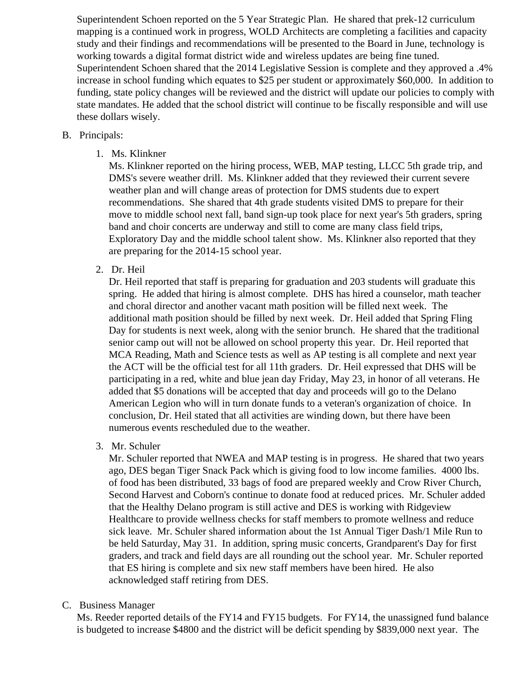Superintendent Schoen reported on the 5 Year Strategic Plan. He shared that prek-12 curriculum mapping is a continued work in progress, WOLD Architects are completing a facilities and capacity study and their findings and recommendations will be presented to the Board in June, technology is working towards a digital format district wide and wireless updates are being fine tuned. Superintendent Schoen shared that the 2014 Legislative Session is complete and they approved a .4% increase in school funding which equates to \$25 per student or approximately \$60,000. In addition to funding, state policy changes will be reviewed and the district will update our policies to comply with state mandates. He added that the school district will continue to be fiscally responsible and will use these dollars wisely.

#### B. Principals:

1. Ms. Klinkner

Ms. Klinkner reported on the hiring process, WEB, MAP testing, LLCC 5th grade trip, and DMS's severe weather drill. Ms. Klinkner added that they reviewed their current severe weather plan and will change areas of protection for DMS students due to expert recommendations. She shared that 4th grade students visited DMS to prepare for their move to middle school next fall, band sign-up took place for next year's 5th graders, spring band and choir concerts are underway and still to come are many class field trips, Exploratory Day and the middle school talent show. Ms. Klinkner also reported that they are preparing for the 2014-15 school year.

2. Dr. Heil

Dr. Heil reported that staff is preparing for graduation and 203 students will graduate this spring. He added that hiring is almost complete. DHS has hired a counselor, math teacher and choral director and another vacant math position will be filled next week. The additional math position should be filled by next week. Dr. Heil added that Spring Fling Day for students is next week, along with the senior brunch. He shared that the traditional senior camp out will not be allowed on school property this year. Dr. Heil reported that MCA Reading, Math and Science tests as well as AP testing is all complete and next year the ACT will be the official test for all 11th graders. Dr. Heil expressed that DHS will be participating in a red, white and blue jean day Friday, May 23, in honor of all veterans. He added that \$5 donations will be accepted that day and proceeds will go to the Delano American Legion who will in turn donate funds to a veteran's organization of choice. In conclusion, Dr. Heil stated that all activities are winding down, but there have been numerous events rescheduled due to the weather.

3. Mr. Schuler

Mr. Schuler reported that NWEA and MAP testing is in progress. He shared that two years ago, DES began Tiger Snack Pack which is giving food to low income families. 4000 lbs. of food has been distributed, 33 bags of food are prepared weekly and Crow River Church, Second Harvest and Coborn's continue to donate food at reduced prices. Mr. Schuler added that the Healthy Delano program is still active and DES is working with Ridgeview Healthcare to provide wellness checks for staff members to promote wellness and reduce sick leave. Mr. Schuler shared information about the 1st Annual Tiger Dash/1 Mile Run to be held Saturday, May 31. In addition, spring music concerts, Grandparent's Day for first graders, and track and field days are all rounding out the school year. Mr. Schuler reported that ES hiring is complete and six new staff members have been hired. He also acknowledged staff retiring from DES.

## C. Business Manager

Ms. Reeder reported details of the FY14 and FY15 budgets. For FY14, the unassigned fund balance is budgeted to increase \$4800 and the district will be deficit spending by \$839,000 next year. The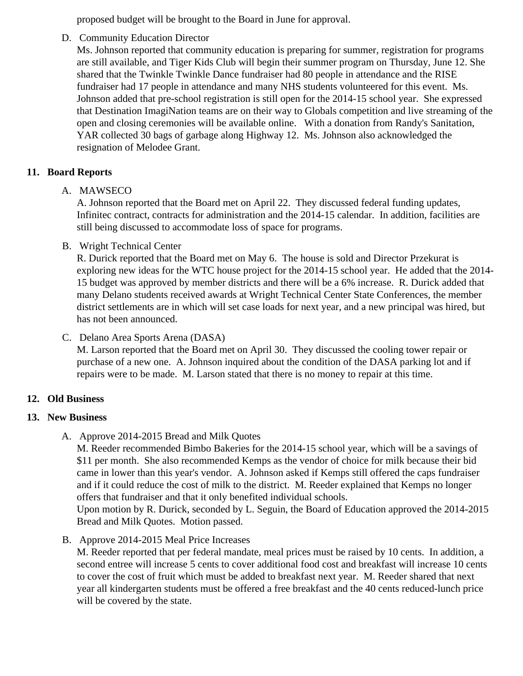proposed budget will be brought to the Board in June for approval.

D. Community Education Director

Ms. Johnson reported that community education is preparing for summer, registration for programs are still available, and Tiger Kids Club will begin their summer program on Thursday, June 12. She shared that the Twinkle Twinkle Dance fundraiser had 80 people in attendance and the RISE fundraiser had 17 people in attendance and many NHS students volunteered for this event. Ms. Johnson added that pre-school registration is still open for the 2014-15 school year. She expresse that Destination ImagiNation teams are on their way to Globals competition and live streaming of the open and closing ceremonies will be available online. With a donation from Randy's Sanitation, YAR collected 30 bags of garbage along Highway 12. Ms. Johnson also acknowledged the resignation of Melodee Grant.

- 11. Board Reports
	- A. MAWSECO

A. Johnson reported that the Board met on April 22. They discussed federal funding updates, Infinitec contract, contracts for administration and the 2014-15 calendar. In addition, facilities are still being discussed to accommodate loss of space for programs.

B. Wright Technical Center

R. Durick reported that the Board met on May 6. The house is sold and Director Przekurat is exploring new ideas for the WTC house project for the 2014-15 school year. He added that the 20 15 budget was approved by member districts and there will be a 6% increase. R. Durick added that many Delano students received awards at Wright Technical Center State Conferences, the member district settlements are in which will set case loads for next year, and a new principal was hired, bu has not been announced.

# C. Delano Area Sports Arena (DASA)

M. Larson reported that the Board met on April 30. They discussed the cooling tower repair or purchase of a new one. A. Johnson inquired about the condition of the DASA parking lot and if repairs were to be made. M. Larson stated that there is no money to repair at this time.

- 12. Old Business
- 13. New Business
	- A. [Approve 2014-2015 Bread and Milk Quo](/docs/district/Business_Office/FY15_Bread_and_Milk_Results.pdf)tes

M. Reeder recommended Bimbo Bakeries for the 2014-15 school year, which will be a savings of \$11 per month. She also recommended Kemps as the vendor of choice for milk because their bid came in lower than this year's vendor. A. Johnson asked if Kemps still offered the caps fundraiser and if it could reduce the cost of milk to the district. M. Reeder explained that Kemps no longer offers that fundraiser and that it only benefited individual schools.

Upon motion by R. Durick, seconded by L. Seguin, the Board of Education approved the 2014-2015 Bread and Milk Quotes. Motion passed.

B. [Approve 2014-2015 Meal Price Increa](/docs/district/Business_Office/FY15_Meal_Increases.pdf)ses

M. Reeder reported that per federal mandate, meal prices must be raised by 10 cents. In addition, second entree will increase 5 cents to cover additional food cost and breakfast will increase 10 cer to cover the cost of fruit which must be added to breakfast next year. M. Reeder shared that next year all kindergarten students must be offered a free breakfast and the 40 cents reduced-lunch pric will be covered by the state.